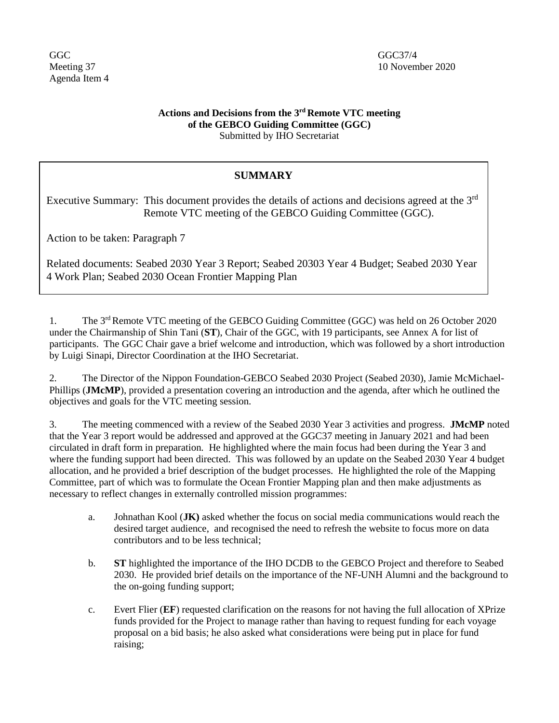GGC GGC37/4 Agenda Item 4

## **Actions and Decisions from the 3 rd Remote VTC meeting of the GEBCO Guiding Committee (GGC)** Submitted by IHO Secretariat

## **SUMMARY**

Executive Summary: This document provides the details of actions and decisions agreed at the 3<sup>rd</sup> Remote VTC meeting of the GEBCO Guiding Committee (GGC).

Action to be taken: Paragraph 7

Related documents: Seabed 2030 Year 3 Report; Seabed 20303 Year 4 Budget; Seabed 2030 Year 4 Work Plan; Seabed 2030 Ocean Frontier Mapping Plan

1. The 3<sup>rd</sup> Remote VTC meeting of the GEBCO Guiding Committee (GGC) was held on 26 October 2020 under the Chairmanship of Shin Tani (**ST**), Chair of the GGC, with 19 participants, see Annex A for list of participants. The GGC Chair gave a brief welcome and introduction, which was followed by a short introduction by Luigi Sinapi, Director Coordination at the IHO Secretariat.

2. The Director of the Nippon Foundation-GEBCO Seabed 2030 Project (Seabed 2030), Jamie McMichael-Phillips (**JMcMP**), provided a presentation covering an introduction and the agenda, after which he outlined the objectives and goals for the VTC meeting session.

3. The meeting commenced with a review of the Seabed 2030 Year 3 activities and progress. **JMcMP** noted that the Year 3 report would be addressed and approved at the GGC37 meeting in January 2021 and had been circulated in draft form in preparation. He highlighted where the main focus had been during the Year 3 and where the funding support had been directed. This was followed by an update on the Seabed 2030 Year 4 budget allocation, and he provided a brief description of the budget processes. He highlighted the role of the Mapping Committee, part of which was to formulate the Ocean Frontier Mapping plan and then make adjustments as necessary to reflect changes in externally controlled mission programmes:

- a. Johnathan Kool (**JK)** asked whether the focus on social media communications would reach the desired target audience, and recognised the need to refresh the website to focus more on data contributors and to be less technical;
- b. **ST** highlighted the importance of the IHO DCDB to the GEBCO Project and therefore to Seabed 2030. He provided brief details on the importance of the NF-UNH Alumni and the background to the on-going funding support;
- c. Evert Flier (**EF**) requested clarification on the reasons for not having the full allocation of XPrize funds provided for the Project to manage rather than having to request funding for each voyage proposal on a bid basis; he also asked what considerations were being put in place for fund raising;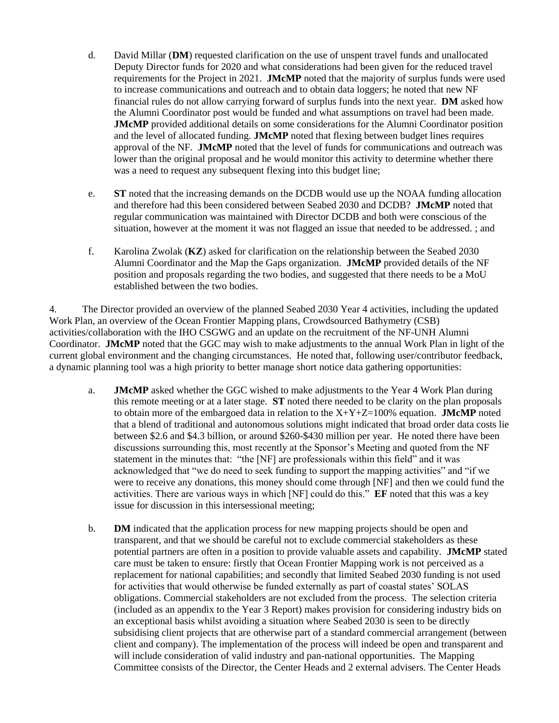- d. David Millar (**DM**) requested clarification on the use of unspent travel funds and unallocated Deputy Director funds for 2020 and what considerations had been given for the reduced travel requirements for the Project in 2021. **JMcMP** noted that the majority of surplus funds were used to increase communications and outreach and to obtain data loggers; he noted that new NF financial rules do not allow carrying forward of surplus funds into the next year. **DM** asked how the Alumni Coordinator post would be funded and what assumptions on travel had been made. **JMcMP** provided additional details on some considerations for the Alumni Coordinator position and the level of allocated funding. **JMcMP** noted that flexing between budget lines requires approval of the NF. **JMcMP** noted that the level of funds for communications and outreach was lower than the original proposal and he would monitor this activity to determine whether there was a need to request any subsequent flexing into this budget line;
- e. **ST** noted that the increasing demands on the DCDB would use up the NOAA funding allocation and therefore had this been considered between Seabed 2030 and DCDB? **JMcMP** noted that regular communication was maintained with Director DCDB and both were conscious of the situation, however at the moment it was not flagged an issue that needed to be addressed. ; and
- f. Karolina Zwolak (**KZ**) asked for clarification on the relationship between the Seabed 2030 Alumni Coordinator and the Map the Gaps organization. **JMcMP** provided details of the NF position and proposals regarding the two bodies, and suggested that there needs to be a MoU established between the two bodies.

4. The Director provided an overview of the planned Seabed 2030 Year 4 activities, including the updated Work Plan, an overview of the Ocean Frontier Mapping plans, Crowdsourced Bathymetry (CSB) activities/collaboration with the IHO CSGWG and an update on the recruitment of the NF-UNH Alumni Coordinator. **JMcMP** noted that the GGC may wish to make adjustments to the annual Work Plan in light of the current global environment and the changing circumstances. He noted that, following user/contributor feedback, a dynamic planning tool was a high priority to better manage short notice data gathering opportunities:

- a. **JMcMP** asked whether the GGC wished to make adjustments to the Year 4 Work Plan during this remote meeting or at a later stage. **ST** noted there needed to be clarity on the plan proposals to obtain more of the embargoed data in relation to the  $X+Y+Z=100\%$  equation. **JMcMP** noted that a blend of traditional and autonomous solutions might indicated that broad order data costs lie between \$2.6 and \$4.3 billion, or around \$260-\$430 million per year. He noted there have been discussions surrounding this, most recently at the Sponsor's Meeting and quoted from the NF statement in the minutes that: "the [NF] are professionals within this field" and it was acknowledged that "we do need to seek funding to support the mapping activities" and "if we were to receive any donations, this money should come through [NF] and then we could fund the activities. There are various ways in which [NF] could do this." **EF** noted that this was a key issue for discussion in this intersessional meeting;
- b. **DM** indicated that the application process for new mapping projects should be open and transparent, and that we should be careful not to exclude commercial stakeholders as these potential partners are often in a position to provide valuable assets and capability. **JMcMP** stated care must be taken to ensure: firstly that Ocean Frontier Mapping work is not perceived as a replacement for national capabilities; and secondly that limited Seabed 2030 funding is not used for activities that would otherwise be funded externally as part of coastal states' SOLAS obligations. Commercial stakeholders are not excluded from the process. The selection criteria (included as an appendix to the Year 3 Report) makes provision for considering industry bids on an exceptional basis whilst avoiding a situation where Seabed 2030 is seen to be directly subsidising client projects that are otherwise part of a standard commercial arrangement (between client and company). The implementation of the process will indeed be open and transparent and will include consideration of valid industry and pan-national opportunities. The Mapping Committee consists of the Director, the Center Heads and 2 external advisers. The Center Heads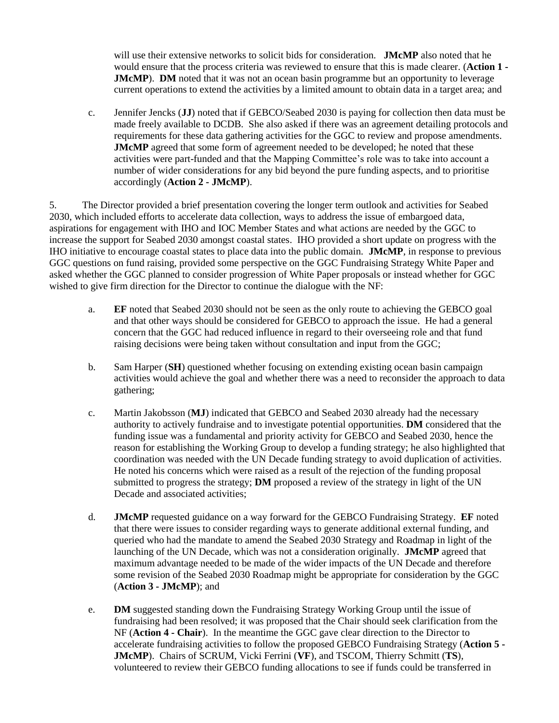will use their extensive networks to solicit bids for consideration. **JMcMP** also noted that he would ensure that the process criteria was reviewed to ensure that this is made clearer. (**Action 1 - JMcMP**). **DM** noted that it was not an ocean basin programme but an opportunity to leverage current operations to extend the activities by a limited amount to obtain data in a target area; and

c. Jennifer Jencks (**JJ**) noted that if GEBCO/Seabed 2030 is paying for collection then data must be made freely available to DCDB. She also asked if there was an agreement detailing protocols and requirements for these data gathering activities for the GGC to review and propose amendments. **JMcMP** agreed that some form of agreement needed to be developed; he noted that these activities were part-funded and that the Mapping Committee's role was to take into account a number of wider considerations for any bid beyond the pure funding aspects, and to prioritise accordingly (**Action 2 - JMcMP**).

5. The Director provided a brief presentation covering the longer term outlook and activities for Seabed 2030, which included efforts to accelerate data collection, ways to address the issue of embargoed data, aspirations for engagement with IHO and IOC Member States and what actions are needed by the GGC to increase the support for Seabed 2030 amongst coastal states. IHO provided a short update on progress with the IHO initiative to encourage coastal states to place data into the public domain. **JMcMP**, in response to previous GGC questions on fund raising, provided some perspective on the GGC Fundraising Strategy White Paper and asked whether the GGC planned to consider progression of White Paper proposals or instead whether for GGC wished to give firm direction for the Director to continue the dialogue with the NF:

- a. **EF** noted that Seabed 2030 should not be seen as the only route to achieving the GEBCO goal and that other ways should be considered for GEBCO to approach the issue. He had a general concern that the GGC had reduced influence in regard to their overseeing role and that fund raising decisions were being taken without consultation and input from the GGC;
- b. Sam Harper (**SH**) questioned whether focusing on extending existing ocean basin campaign activities would achieve the goal and whether there was a need to reconsider the approach to data gathering;
- c. Martin Jakobsson (**MJ**) indicated that GEBCO and Seabed 2030 already had the necessary authority to actively fundraise and to investigate potential opportunities. **DM** considered that the funding issue was a fundamental and priority activity for GEBCO and Seabed 2030, hence the reason for establishing the Working Group to develop a funding strategy; he also highlighted that coordination was needed with the UN Decade funding strategy to avoid duplication of activities. He noted his concerns which were raised as a result of the rejection of the funding proposal submitted to progress the strategy; **DM** proposed a review of the strategy in light of the UN Decade and associated activities;
- d. **JMcMP** requested guidance on a way forward for the GEBCO Fundraising Strategy. **EF** noted that there were issues to consider regarding ways to generate additional external funding, and queried who had the mandate to amend the Seabed 2030 Strategy and Roadmap in light of the launching of the UN Decade, which was not a consideration originally. **JMcMP** agreed that maximum advantage needed to be made of the wider impacts of the UN Decade and therefore some revision of the Seabed 2030 Roadmap might be appropriate for consideration by the GGC (**Action 3 - JMcMP**); and
- e. **DM** suggested standing down the Fundraising Strategy Working Group until the issue of fundraising had been resolved; it was proposed that the Chair should seek clarification from the NF (**Action 4 - Chair**). In the meantime the GGC gave clear direction to the Director to accelerate fundraising activities to follow the proposed GEBCO Fundraising Strategy (**Action 5 - JMcMP**). Chairs of SCRUM, Vicki Ferrini (**VF**), and TSCOM, Thierry Schmitt (**TS**), volunteered to review their GEBCO funding allocations to see if funds could be transferred in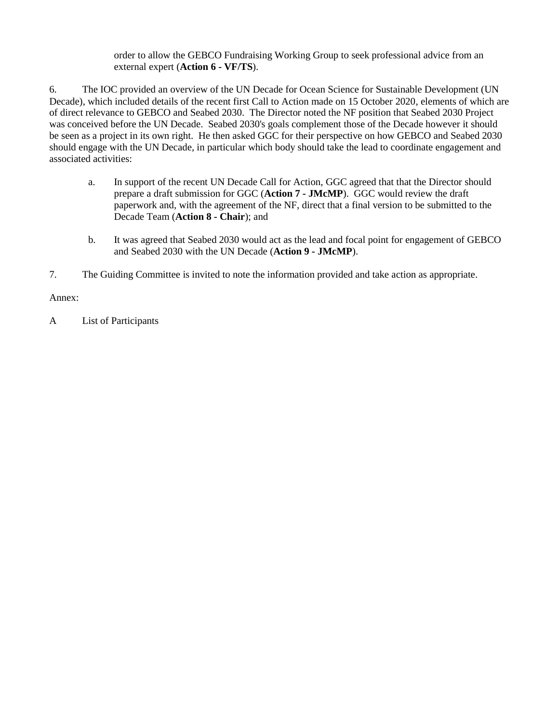order to allow the GEBCO Fundraising Working Group to seek professional advice from an external expert (**Action 6 - VF/TS**).

6. The IOC provided an overview of the UN Decade for Ocean Science for Sustainable Development (UN Decade), which included details of the recent first Call to Action made on 15 October 2020, elements of which are of direct relevance to GEBCO and Seabed 2030. The Director noted the NF position that Seabed 2030 Project was conceived before the UN Decade. Seabed 2030's goals complement those of the Decade however it should be seen as a project in its own right. He then asked GGC for their perspective on how GEBCO and Seabed 2030 should engage with the UN Decade, in particular which body should take the lead to coordinate engagement and associated activities:

- a. In support of the recent UN Decade Call for Action, GGC agreed that that the Director should prepare a draft submission for GGC (**Action 7 - JMcMP**). GGC would review the draft paperwork and, with the agreement of the NF, direct that a final version to be submitted to the Decade Team (**Action 8 - Chair**); and
- b. It was agreed that Seabed 2030 would act as the lead and focal point for engagement of GEBCO and Seabed 2030 with the UN Decade (**Action 9 - JMcMP**).
- 7. The Guiding Committee is invited to note the information provided and take action as appropriate.

Annex:

A List of Participants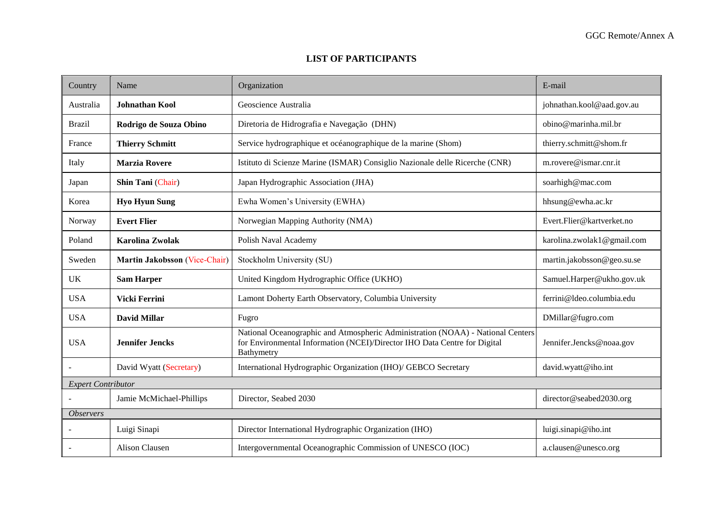## **LIST OF PARTICIPANTS**

| Country                   | Name                          | Organization                                                                                                                                                               | E-mail                     |  |
|---------------------------|-------------------------------|----------------------------------------------------------------------------------------------------------------------------------------------------------------------------|----------------------------|--|
| Australia                 | <b>Johnathan Kool</b>         | Geoscience Australia                                                                                                                                                       | johnathan.kool@aad.gov.au  |  |
| <b>Brazil</b>             | Rodrigo de Souza Obino        | Diretoria de Hidrografia e Navegação (DHN)                                                                                                                                 | obino@marinha.mil.br       |  |
| France                    | <b>Thierry Schmitt</b>        | Service hydrographique et océanographique de la marine (Shom)                                                                                                              | thierry.schmitt@shom.fr    |  |
| Italy                     | <b>Marzia Rovere</b>          | Istituto di Scienze Marine (ISMAR) Consiglio Nazionale delle Ricerche (CNR)                                                                                                | m.rovere@ismar.cnr.it      |  |
| Japan                     | Shin Tani (Chair)             | Japan Hydrographic Association (JHA)                                                                                                                                       | soarhigh@mac.com           |  |
| Korea                     | <b>Hyo Hyun Sung</b>          | Ewha Women's University (EWHA)                                                                                                                                             | hhsung@ewha.ac.kr          |  |
| Norway                    | <b>Evert Flier</b>            | Norwegian Mapping Authority (NMA)                                                                                                                                          | Evert.Flier@kartverket.no  |  |
| Poland                    | <b>Karolina Zwolak</b>        | Polish Naval Academy                                                                                                                                                       | karolina.zwolak1@gmail.com |  |
| Sweden                    | Martin Jakobsson (Vice-Chair) | Stockholm University (SU)                                                                                                                                                  | martin.jakobsson@geo.su.se |  |
| <b>UK</b>                 | <b>Sam Harper</b>             | United Kingdom Hydrographic Office (UKHO)                                                                                                                                  | Samuel.Harper@ukho.gov.uk  |  |
| <b>USA</b>                | Vicki Ferrini                 | Lamont Doherty Earth Observatory, Columbia University                                                                                                                      | ferrini@ldeo.columbia.edu  |  |
| <b>USA</b>                | <b>David Millar</b>           | Fugro                                                                                                                                                                      | DMillar@fugro.com          |  |
| <b>USA</b>                | <b>Jennifer Jencks</b>        | National Oceanographic and Atmospheric Administration (NOAA) - National Centers<br>for Environmental Information (NCEI)/Director IHO Data Centre for Digital<br>Bathymetry | Jennifer.Jencks@noaa.gov   |  |
|                           | David Wyatt (Secretary)       | International Hydrographic Organization (IHO)/ GEBCO Secretary                                                                                                             | david.wyatt@iho.int        |  |
| <b>Expert Contributor</b> |                               |                                                                                                                                                                            |                            |  |
|                           | Jamie McMichael-Phillips      | Director, Seabed 2030                                                                                                                                                      | director@seabed2030.org    |  |
| <i><b>Observers</b></i>   |                               |                                                                                                                                                                            |                            |  |
|                           | Luigi Sinapi                  | Director International Hydrographic Organization (IHO)                                                                                                                     | luigi.sinapi@iho.int       |  |
|                           | Alison Clausen                | Intergovernmental Oceanographic Commission of UNESCO (IOC)                                                                                                                 | a.clausen@unesco.org       |  |